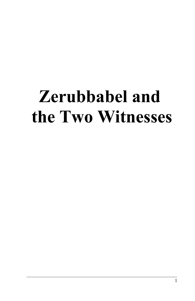# **Zerubbabel and the Two Witnesses**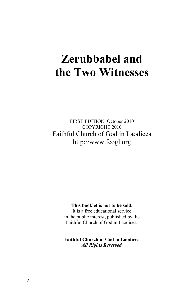# **Zerubbabel and the Two Witnesses**

FIRST EDITION, October 2010 COPYRIGHT 2010 Faithful Church of God in Laodicea http://www.fcogl.org

#### **This booklet is not to be sold.**

It is a free educational service in the public interest, published by the Faithful Church of God in Laodicea.

**Faithful Church of God in Laodicea** *All Rights Reserved*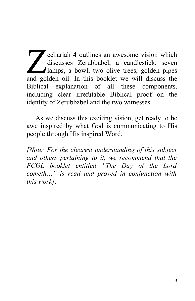echariah 4 outlines an awesome vision which discusses Zerubbabel, a candlestick, seven lamps, a bowl, two olive trees, golden pipes echariah 4 outlines an awesome vision which<br>discusses Zerubbabel, a candlestick, seven<br>lamps, a bowl, two olive trees, golden pipes<br>and golden oil. In this booklet we will discuss the Biblical explanation of all these components, including clear irrefutable Biblical proof on the identity of Zerubbabel and the two witnesses.

As we discuss this exciting vision, get ready to be awe inspired by what God is communicating to His people through His inspired Word.

*[Note: For the clearest understanding of this subject and others pertaining to it, we recommend that the FCGL booklet entitled "The Day of the Lord cometh…" is read and proved in conjunction with this work].*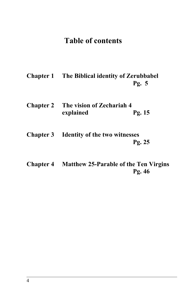# **Table of contents**

- **Chapter 1 The Biblical identity of Zerubbabel Pg. 5**
- **Chapter 2 The vision of Zechariah 4 explained Pg. 15**
- **Chapter 3 Identity of the two witnesses Pg. 25**
- **Chapter 4 Matthew 25-Parable of the Ten Virgins Pg. 46**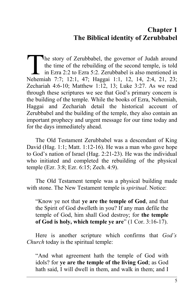# **Chapter 1 The Biblical identity of Zerubbabel**

he story of Zerubbabel, the governor of Judah around the time of the rebuilding of the second temple, is told in Ezra 2:2 to Ezra 5:2. Zerubbabel is also mentioned in The story of Zerubbabel, the governor of Judah around<br>the time of the rebuilding of the second temple, is told<br>in Ezra 2:2 to Ezra 5:2. Zerubbabel is also mentioned in<br>Nehemiah 7:7; 12:1, 47; Haggai 1:1, 12, 14, 2:4, 21, 2 Zechariah 4:6-10; Matthew 1:12, 13; Luke 3:27. As we read through these scriptures we see that God's primary concern is the building of the temple. While the books of Ezra, Nehemiah, Haggai and Zechariah detail the historical account of Zerubbabel and the building of the temple, they also contain an important prophecy and urgent message for our time today and for the days immediately ahead.

The Old Testament Zerubbabel was a descendant of King David (Hag. 1:1; Matt. 1:12-16). He was a man who gave hope to God's nation of Israel (Hag. 2:21-23). He was the individual who initiated and completed the rebuilding of the physical temple (Ezr. 3:8; Ezr. 6:15; Zech. 4:9).

The Old Testament temple was a physical building made with stone. The New Testament temple is *spiritual*. Notice:

"Know ye not that **ye are the temple of God**, and that the Spirit of God dwelleth in you? If any man defile the temple of God, him shall God destroy; for **the temple of God is holy, which temple ye are**" (1 Cor. 3:16-17).

Here is another scripture which confirms that *God's Church* today is the spiritual temple:

"And what agreement hath the temple of God with idols? for **ye are the temple of the living God**; as God hath said, I will dwell in them, and walk in them; and I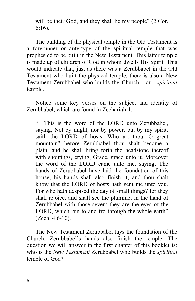will be their God, and they shall be my people" (2 Cor. 6:16).

The building of the physical temple in the Old Testament is a forerunner or ante-type of the spiritual temple that was prophesied to be built in the New Testament. This latter temple is made up of children of God in whom dwells His Spirit. This would indicate that, just as there was a Zerubbabel in the Old Testament who built the physical temple, there is also a New Testament Zerubbabel who builds the Church - or - *spiritual* temple.

Notice some key verses on the subject and identity of Zerubbabel, which are found in Zechariah 4:

"…This is the word of the LORD unto Zerubbabel, saying, Not by might, nor by power, but by my spirit, saith the LORD of hosts. Who art thou, O great mountain? before Zerubbabel thou shalt become a plain: and he shall bring forth the headstone thereof with shoutings, crying, Grace, grace unto it. Moreover the word of the LORD came unto me, saying, The hands of Zerubbabel have laid the foundation of this house; his hands shall also finish it; and thou shalt know that the LORD of hosts hath sent me unto you. For who hath despised the day of small things? for they shall rejoice, and shall see the plummet in the hand of Zerubbabel with those seven; they are the eyes of the LORD, which run to and fro through the whole earth" (Zech. 4:6-10).

The New Testament Zerubbabel lays the foundation of the Church. Zerubbabel's hands also finish the temple. The question we will answer in the first chapter of this booklet is: who is the *New Testament* Zerubbabel who builds the *spiritual* temple of God?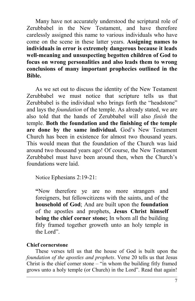Many have not accurately understood the scriptural role of Zerubbabel in the New Testament, and have therefore carelessly assigned this name to various individuals who have come on the scene in these latter years. **Assigning names to individuals in error is extremely dangerous because it leads well-meaning and unsuspecting begotten children of God to focus on wrong personalities and also leads them to wrong conclusions of many important prophecies outlined in the Bible.** 

As we set out to discuss the identity of the New Testament Zerubbabel we must notice that scripture tells us that Zerubbabel is the individual who brings forth the "headstone" and lays the *foundation* of the temple. As already stated, we are also told that the hands of Zerubbabel will also *finish* the temple. **Both the foundation and the finishing of the temple are done by the same individual.** God's New Testament Church has been in existence for almost two thousand years. This would mean that the foundation of the Church was laid around two thousand years ago! Of course, the New Testament Zerubbabel must have been around then, when the Church's foundations were laid.

Notice Ephesians 2:19-21:

**"**Now therefore ye are no more strangers and foreigners, but fellowcitizens with the saints, and of the **household of God**; And are built upon the **foundation** of the apostles and prophets, **Jesus Christ himself being the chief corner stone;** In whom all the building fitly framed together groweth unto an holy temple in the Lord".

#### **Chief cornerstone**

These verses tell us that the house of God is built upon the *foundation of the apostles and prophets*. Verse 20 tells us that Jesus Christ is the chief corner stone – "in whom the building fitly framed grows unto a holy temple (or Church) in the Lord". Read that again!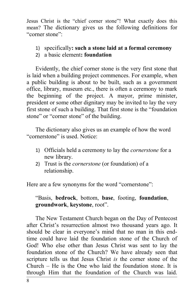Jesus Christ is the "chief corner stone"! What exactly does this mean? The dictionary gives us the following definitions for "corner stone":

- 1) specifically**: such a stone laid at a formal ceremony**
- 2) a basic element**: foundation**

Evidently, the chief corner stone is the very first stone that is laid when a building project commences. For example, when a public building is about to be built, such as a government office, library, museum etc., there is often a ceremony to mark the beginning of the project. A mayor, prime minister, president or some other dignitary may be invited to lay the very first stone of such a building. That first stone is the "foundation stone" or "corner stone" of the building.

The dictionary also gives us an example of how the word "cornerstone" is used. Notice:

- 1) Officials held a ceremony to lay the *cornerstone* for a new library.
- 2) Trust is the *cornerstone* (or foundation) of a relationship.

Here are a few synonyms for the word "cornerstone":

"Basis, **bedrock**, bottom, **base**, footing, **foundation**, **groundwork**, **keystone**, root".

The New Testament Church began on the Day of Pentecost after Christ's resurrection almost two thousand years ago. It should be clear in everyone's mind that no man in this endtime could have laid the foundation stone of the Church of God! Who else other than Jesus Christ was sent to lay the foundation stone of the Church? We have already seen that scripture tells us that Jesus Christ *is* the corner stone of the Church – He is the One who laid the foundation stone. It is through Him that the foundation of the Church was laid.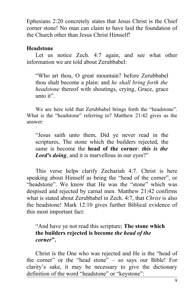Ephesians 2:20 concretely states that Jesus Christ is the Chief corner stone! No man can claim to have laid the foundation of the Church other than Jesus Christ Himself!

#### **Headstone**

Let us notice Zech. 4:7 again, and see what other information we are told about Zerubbabel:

"Who art thou, O great mountain? before Zerubbabel thou shalt become a plain: and *he shall bring forth the headstone* thereof with shoutings, crying, Grace, grace unto it".

We are here told that Zerubbabel brings forth the "headstone". What is the "headstone" referring to? Matthew 21:42 gives us the answer:

"Jesus saith unto them, Did ye never read in the scriptures, The stone which the builders rejected, the same is become the **head of the corner**: *this is the Lord's doing*, and it is marvellous in our eyes?"

This verse helps clarify Zechariah 4:7. Christ is here speaking about Himself as being the "head of the corner", or "headstone". We know that He was the "stone" which was despised and rejected by carnal men. Matthew 21:42 confirms what is stated about Zerubbabel in Zech. 4:7, that *Christ* is also the headstone! Mark 12:10 gives further Biblical evidence of this most important fact:

"And have ye not read this scripture; **The stone which the builders rejected is become** *the head of the corner***".**

Christ is the One who was rejected and He is the "head of the corner" or the "head stone" – so says our Bible! For clarity's sake, it may be necessary to give the dictionary definition of the word "headstone" or "keystone":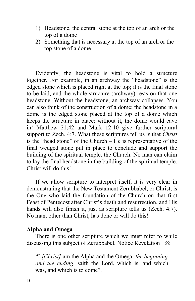- 1) Headstone, the central stone at the top of an arch or the top of a dome
- 2) Something that is necessary at the top of an arch or the top stone of a dome

Evidently, the headstone is vital to hold a structure together. For example, in an archway the "headstone" is the edged stone which is placed right at the top; it is the final stone to be laid, and the whole structure (archway) rests on that one headstone. Without the headstone, an archway collapses. You can also think of the construction of a dome: the headstone in a dome is the edged stone placed at the top of a dome which keeps the structure in place: without it, the dome would cave in! Matthew 21:42 and Mark 12:10 give further scriptural support to Zech. 4:7. What these scriptures tell us is that *Christ* is the "head stone" of the Church – He is representative of the final wedged stone put in place to conclude and support the building of the spiritual temple, the Church. No man can claim to lay the final headstone in the building of the spiritual temple. Christ will do this!

If we allow scripture to interpret itself, it is very clear in demonstrating that the New Testament Zerubbabel, or Christ, is the One who laid the foundation of the Church on that first Feast of Pentecost after Christ's death and resurrection, and His hands will also finish it, just as scripture tells us (Zech. 4:7). No man, other than Christ, has done or will do this!

#### **Alpha and Omega**

There is one other scripture which we must refer to while discussing this subject of Zerubbabel. Notice Revelation 1:8:

"I *[Christ]* am the Alpha and the Omega, *the beginning and the ending*, saith the Lord, which is, and which was, and which is to come".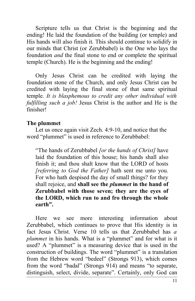Scripture tells us that Christ is the beginning and the ending! He laid the foundation of the building (or temple) and His hands will also finish it. This should continue to solidify in our minds that Christ (or Zerubbabel) is the One who lays the foundation *and* the final stone to end or complete the spiritual temple (Church). He is the beginning and the ending!

Only Jesus Christ can be credited with laying the foundation stone of the Church, and only Jesus Christ can be credited with laying the final stone of that same spiritual temple. *It is blasphemous to credit any other individual with fulfilling such a job!* Jesus Christ is the author and He is the finisher!

#### **The plummet**

Let us once again visit Zech. 4:9-10, and notice that the word "plummet" is used in reference to Zerubbabel:

"The hands of Zerubbabel *[or the hands of Christ]* have laid the foundation of this house; his hands shall also finish it; and thou shalt know that the LORD of hosts *[referring to God the Father]* hath sent me unto you. For who hath despised the day of small things? for they shall rejoice, and **shall see the** *plummet* **in the hand of Zerubbabel with those seven; they are the eyes of the LORD, which run to and fro through the whole earth".**

Here we see more interesting information about Zerubbabel, which continues to prove that His identity is in fact Jesus Christ. Verse 10 tells us that Zerubbabel has *a plummet* in his hands. What is a "plummet" and for what is it used? A "plummet" is a measuring device that is used in the construction of buildings. The word "plummet" is a translation from the Hebrew word "bedeel" (Strongs 913), which comes from the word "badal" (Strongs 914) and means "to separate, distinguish, select, divide, separate". Certainly, only God can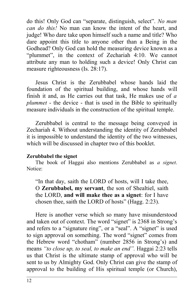do this! Only God can "separate, distinguish, select". *No man can do this!* No man can know the intent of the heart, and judge! Who dare take upon himself such a name and title? Who dare appoint this title to anyone other than a Being in the Godhead? Only God can hold the measuring device known as a "plummet", in the context of Zechariah 4:10. We cannot attribute any man to holding such a device! Only Christ can measure righteousness (Is. 28:17).

Jesus Christ is the Zerubbabel whose hands laid the foundation of the spiritual building, and whose hands will finish it and, as He carries out that task, He makes use of *a plummet* - the device - that is used in the Bible to spiritually measure individuals in the construction of the spiritual temple.

Zerubbabel is central to the message being conveyed in Zechariah 4. Without understanding the identity of Zerubbabel it is impossible to understand the identity of the two witnesses, which will be discussed in chapter two of this booklet.

#### **Zerubbabel the signet**

The book of Haggai also mentions Zerubbabel as *a signet*. Notice:

"In that day, saith the LORD of hosts, will I take thee, O **Zerubbabel, my servant**, the son of Shealtiel, saith the LORD, **and will make thee as a signet**: for I have chosen thee, saith the LORD of hosts" (Hagg. 2:23).

Here is another verse which so many have misunderstood and taken out of context. The word "signet" is 2368 in Strong's and refers to a "signature ring", or a "seal". A "signet" is used to sign approval on something. The word "signet" comes from the Hebrew word "chotham" (number 2856 in Strong's) and means *"to close up, to seal, to make an end".* Haggai 2:23 tells us that Christ is the ultimate stamp of approval who will be sent to us by Almighty God. Only Christ can give the stamp of approval to the building of His spiritual temple (or Church),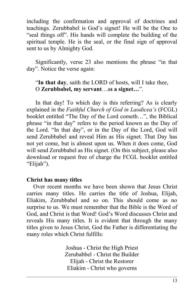including the confirmation and approval of doctrines and teachings. Zerubbabel is God's signet! He will be the One to "seal things off". His hands will complete the building of the spiritual temple. He is the seal, or the final sign of approval sent to us by Almighty God.

Significantly, verse 23 also mentions the phrase "in that day". Notice the verse again:

#### "**In that day**, saith the LORD of hosts, will I take thee, O **Zerubbabel, my servant**…a**s a signet…**".

In that day! To which day is this referring? As is clearly explained in the *Faithful Church of God in Laodicea's* (FCGL) booklet entitled "The Day of the Lord cometh…", the Biblical phrase "in that day" refers to the period known as the Day of the Lord. "In that day", or in the Day of the Lord, God will send Zerubbabel and reveal Him as His signet. That Day has not yet come, but is almost upon us. When it does come, God will send Zerubbabel as His signet. (On this subject, please also download or request free of charge the FCGL booklet entitled "Elijah").

#### **Christ has many titles**

Over recent months we have been shown that Jesus Christ carries many titles. He carries the title of Joshua, Elijah, Eliakim, Zerubbabel and so on. This should come as no surprise to us. We must remember that the Bible is the Word of God, and Christ is that Word! God's Word discusses Christ and reveals His many titles. It is evident that through the many titles given to Jesus Christ, God the Father is differentiating the many roles which Christ fulfills:

> Joshua - Christ the High Priest Zerubabbel - Christ the Builder Elijah - Christ the Restorer Eliakim - Christ who governs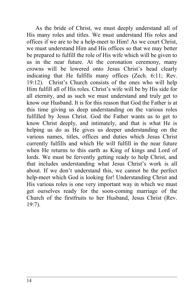As the bride of Christ, we must deeply understand all of His many roles and titles. We must understand His roles and offices if we are to be a help-meet to Him! As we court Christ, we must understand Him and His offices so that we may better be prepared to fulfill the role of His wife which will be given to us in the near future. At the coronation ceremony, many crowns will be lowered onto Jesus Christ's head clearly indicating that He fulfills many offices (Zech. 6:11; Rev. 19:12). Christ's Church consists of the ones who will help Him fulfill all of His roles. Christ's wife will be by His side for all eternity, and as such we must understand and truly get to know our Husband. It is for this reason that God the Father is at this time giving us deep understanding on the various roles fulfilled by Jesus Christ. God the Father wants us to get to know Christ deeply, and intimately, and that is what He is helping us do as He gives us deeper understanding on the various names, titles, offices and duties which Jesus Christ currently fulfills and which He will fulfill in the near future when He returns to this earth as King of kings and Lord of lords. We must be fervently getting ready to help Christ, and that includes understanding what Jesus Christ's work is all about. If we don't understand this, we cannot be the perfect help-meet which God is looking for! Understanding Christ and His various roles is one very important way in which we must get ourselves ready for the soon-coming marriage of the Church of the firstfruits to her Husband, Jesus Christ (Rev. 19:7).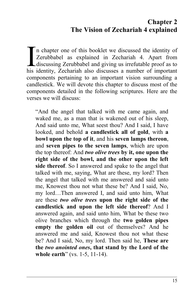# **Chapter 2 The Vision of Zechariah 4 explained**

n chapter one of this booklet we discussed the identity of Zerubbabel as explained in Zechariah 4. Apart from discussing Zerubbabel and giving us irrefutable proof as to In chapter one of this booklet we discussed the identity of Zerubbabel as explained in Zechariah 4. Apart from discussing Zerubbabel and giving us irrefutable proof as to his identity, Zechariah also discusses a number of components pertaining to an important vision surrounding a candlestick. We will devote this chapter to discuss most of the components detailed in the following scriptures. Here are the verses we will discuss:

"And the angel that talked with me came again, and waked me, as a man that is wakened out of his sleep, And said unto me, What seest thou? And I said, I have looked, and behold **a candlestick all of gold**, with **a bowl upon the top of it**, and his **seven lamps thereon**, and **seven pipes to the seven lamps**, which are upon the top thereof: And *two olive trees* **by it, one upon the right side of the bowl, and the other upon the left side thereof**. So I answered and spake to the angel that talked with me, saying, What are these, my lord? Then the angel that talked with me answered and said unto me, Knowest thou not what these be? And I said, No, my lord…Then answered I, and said unto him, What are these *two olive trees* **upon the right side of the candlestick and upon the left side thereof**? And I answered again, and said unto him, What be these two olive branches which through the **two golden pipes empty the golden oil** out of themselves? And he answered me and said, Knowest thou not what these be? And I said, No, my lord. Then said he, **These are the** *two anointed ones***, that stand by the Lord of the whole earth**" (vs. 1-5, 11-14).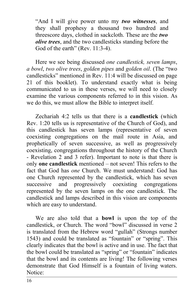"And I will give power unto my *two witnesses*, and they shall prophesy a thousand two hundred and threescore days, clothed in sackcloth. These are the *two olive trees*, and the two candlesticks standing before the God of the earth" (Rev. 11:3-4).

Here we see being discussed *one candlestick, seven lamps*, *a bowl*, *two olive trees*, *golden pipes* and *golden oil*. (The "two candlesticks" mentioned in Rev. 11:4 will be discussed on page 21 of this booklet). To understand exactly what is being communicated to us in these verses, we will need to closely examine the various components referred to in this vision. As we do this, we must allow the Bible to interpret itself.

Zechariah 4:2 tells us that there is a **candlestick** (which Rev. 1:20 tells us is representative of the Church of God), and this candlestick has seven lamps (representative of seven coexisting congregations on the mail route in Asia, and prophetically of seven successive, as well as progressively coexisting, congregations throughout the history of the Church - Revelation 2 and 3 refer). Important to note is that there is only **one candlestick** mentioned – not seven! This refers to the fact that God has *one* Church. We must understand: God has one Church represented by the candlestick, which has seven successive and progressively coexisting congregations represented by the seven lamps on the one candlestick. The candlestick and lamps described in this vision are components which are easy to understand.

We are also told that a **bowl** is upon the top of the candlestick, or Church. The word "bowl" discussed in verse 2 is translated from the Hebrew word "gullah" (Strongs number 1543) and could be translated as "fountain" or "spring". This clearly indicates that the bowl is active and in use. The fact that the bowl could be translated as "spring" or "fountain" indicates that the bowl and its contents are living! The following verses demonstrate that God Himself is a fountain of living waters. Notice: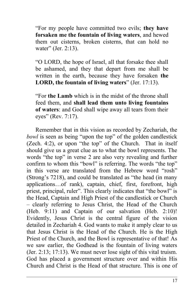"For my people have committed two evils; **they have forsaken me the fountain of living waters**, and hewed them out cisterns, broken cisterns, that can hold no water" (Jer. 2:13).

"O LORD, the hope of Israel, all that forsake thee shall be ashamed, and they that depart from me shall be written in the earth, because they have forsaken **the LORD, the fountain of living waters**" (Jer. 17:13).

"For **the Lamb** which is in the midst of the throne shall feed them, and **shall lead them unto living fountains of waters**: and God shall wipe away all tears from their eyes" (Rev. 7:17).

Remember that in this vision as recorded by Zechariah, the *bowl* is seen as being "upon the top" of the golden candlestick (Zech. 4:2), or upon "the top" of the Church. That in itself should give us a great clue as to what the bowl represents. The words "the top" in verse 2 are also very revealing and further confirm to whom this "bowl" is referring. The words "the top" in this verse are translated from the Hebrew word "rosh" (Strong's 7218), and could be translated as "the head (in many applications…of rank), captain, chief, first, forefront, high priest, principal, ruler". This clearly indicates that "the bowl" is the Head, Captain and High Priest of the candlestick or Church – clearly referring to Jesus Christ, the Head of the Church (Heb. 9:11) and Captain of our salvation (Heb. 2:10)! Evidently, Jesus Christ is the central figure of the vision detailed in Zechariah 4. God wants to make it amply clear to us that Jesus Christ is the Head of the Church. He is the High Priest of the Church, and the Bowl is representative of that! As we saw earlier, the Godhead is the fountain of living waters (Jer. 2:13; 17:13). We must never lose sight of this vital truism. God has placed a government structure over and within His Church and Christ is the Head of that structure. This is one of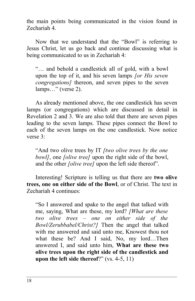the main points being communicated in the vision found in Zechariah 4.

Now that we understand that the "Bowl" is referring to Jesus Christ, let us go back and continue discussing what is being communicated to us in Zechariah 4:

"… and behold a candlestick all of gold, with a bowl upon the top of it, and his seven lamps *[or His seven congregations]* thereon, and seven pipes to the seven lamps..." (verse 2).

As already mentioned above, the one candlestick has seven lamps (or congregations) which are discussed in detail in Revelation 2 and 3. We are also told that there are seven pipes leading to the seven lamps. These pipes connect the Bowl to each of the seven lamps on the one candlestick. Now notice verse 3:

"And two olive trees by IT *[two olive trees by the one bowl]*, one *[olive tree]* upon the right side of the bowl, and the other *[olive tree]* upon the left side thereof".

Interesting! Scripture is telling us that there are **two olive trees, one on either side of the Bowl**, or of Christ. The text in Zechariah 4 continues:

"So I answered and spake to the angel that talked with me, saying, What are these, my lord? *[What are these two olive trees – one on either side of the Bowl/Zerubbabel/Christ?]* Then the angel that talked with me answered and said unto me, Knowest thou not what these be? And I said, No, my lord…Then answered I, and said unto him, **What are these two olive trees upon the right side of the candlestick and upon the left side thereof**?" (vs. 4-5, 11)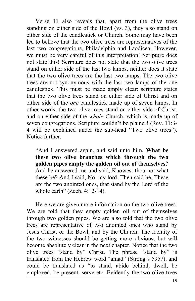Verse 11 also reveals that, apart from the olive trees standing on either side of the Bowl (vs. 3), they also stand on either side of the candlestick or Church. Some may have been led to believe that the two olive trees are representatives of the last two congregations, Philadelphia and Laodicea. However, we must be very careful of this interpretation! Scripture does not state this! Scripture does not state that the two olive trees stand on either side of the last two lamps, neither does it state that the two olive trees are the last two lamps. The two olive trees are not synonymous with the last two lamps of the one candlestick. This must be made amply clear: scripture states that the two olive trees stand on either side of Christ and on either side of the *one* candlestick made up of seven lamps. In other words, the two olive trees stand on either side of Christ, and on either side of the *whole* Church, which is made up of seven congregations. Scripture couldn't be plainer! (Rev. 11:3- 4 will be explained under the sub-head "Two olive trees"). Notice further:

"And I answered again, and said unto him, **What be these two olive branches which through the two golden pipes empty the golden oil out of themselves?** And he answered me and said, Knowest thou not what these be? And I said, No, my lord. Then said he, These are the two anointed ones, that stand by the Lord of the whole earth" (Zech. 4:12-14).

Here we are given more information on the two olive trees. We are told that they empty golden oil out of themselves through two golden pipes. We are also told that the two olive trees are representative of two anointed ones who stand by Jesus Christ, or the Bowl, and by the Church. The identity of the two witnesses should be getting more obvious, but will become absolutely clear in the next chapter. Notice that the two olive trees "stand by" Christ. The phrase "stand by" is translated from the Hebrew word "amad" (Strong's 5957), and could be translated as "to stand, abide behind, dwell, be employed, be present, serve etc. Evidently the two olive trees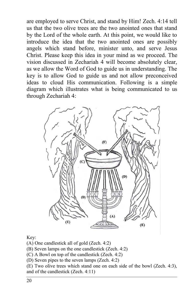are employed to serve Christ, and stand by Him! Zech. 4:14 tell us that the two olive trees are the two anointed ones that stand by the Lord of the whole earth. At this point, we would like to introduce the idea that the two anointed ones are possibly angels which stand before, minister unto, and serve Jesus Christ. Please keep this idea in your mind as we proceed. The vision discussed in Zechariah 4 will become absolutely clear, as we allow the Word of God to guide us in understanding. The key is to allow God to guide us and not allow preconceived ideas to cloud His communication. Following is a simple diagram which illustrates what is being communicated to us through Zechariah 4:



Key:

(A) One candlestick all of gold (Zech. 4:2)

(B) Seven lamps on the one candlestick (Zech. 4:2)

(C) A Bowl on top of the candlestick (Zech. 4:2)

(D) Seven pipes to the seven lamps (Zech. 4:2)

(E) Two olive trees which stand one on each side of the bowl (Zech. 4:3), and of the candlestick (Zech. 4:11)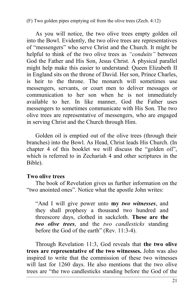(F) Two golden pipes emptying oil from the olive trees (Zech. 4:12)

As you will notice, the two olive trees empty golden oil into the Bowl. Evidently, the two olive trees are representatives of "messengers" who serve Christ and the Church. It might be helpful to think of the two olive trees as *"conduits"* between God the Father and His Son, Jesus Christ. A physical parallel might help make this easier to understand: Queen Elizabeth II in England sits on the throne of David. Her son, Prince Charles, is heir to the throne. The monarch will sometimes use messengers, servants, or court men to deliver messages or communication to her son when he is not immediately available to her. In like manner, God the Father uses messengers to sometimes communicate with His Son. The two olive trees are representative of messengers, who are engaged in serving Christ and the Church through Him.

Golden oil is emptied out of the olive trees (through their branches) into the Bowl. As Head, Christ leads His Church. (In chapter 4 of this booklet we will discuss the "golden oil", which is referred to in Zechariah 4 and other scriptures in the Bible).

#### **Two olive trees**

The book of Revelation gives us further information on the "two anointed ones". Notice what the apostle John writes:

"And I will give power unto **my** *two witnesses*, and they shall prophesy a thousand two hundred and threescore days, clothed in sackcloth. **These are the** *two olive trees*, and the *two candlesticks* standing before the God of the earth" (Rev. 11:3-4).

Through Revelation 11:3, God reveals that **the two olive trees are representative of the two witnesses.** John was also inspired to write that the commission of these two witnesses will last for 1260 days. He also mentions that the two olive trees are "the two candlesticks standing before the God of the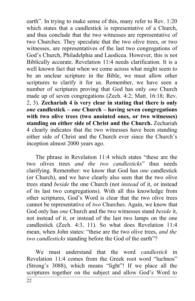earth". In trying to make sense of this, many refer to Rev. 1:20 which states that a candlestick is representative of a Church, and thus conclude that the two witnesses are representative of two Churches. They speculate that the two olive trees, or two witnesses, are representatives of the last two congregations of God's Church, Philadelphia and Laodicea. However, this is not Biblically accurate. Revelation 11:4 needs clarification. It is a well known fact that when we come across what might seem to be an unclear scripture in the Bible, we must allow other scriptures to clarify it for us. Remember, we have seen a number of scriptures proving that God has only *one* Church made up of seven congregations (Zech. 4:2; Matt. 16:18; Rev. 2, 3). **Zechariah 4 is very clear in stating that there is only** *one* **candlestick –** *one* **Church – having seven congregations with two olive trees (two anointed ones, or two witnesses) standing on either side of Christ and the Church.** Zechariah 4 clearly indicates that the two witnesses have been standing either side of Christ and the Church ever since the Church's inception almost 2000 years ago.

The phrase in Revelation 11:4 which states "these are the two olives trees *and the two candlesticks*" thus needs clarifying. Remember: we know that God has *one* candlestick (or Church), and we have clearly also seen that the two olive trees stand *beside* the one Church (not *instead* of it, or instead of its last two congregations). With all this knowledge from other scriptures, God's Word is clear that the two olive trees cannot be representative of *two* Churches. Again, we know that God only has *one* Church and the two witnesses stand *beside* it, not instead of it, or instead of the last two lamps on the one candlestick (Zech. 4:3, 11). So what does Revelation 11:4 mean, when John states: "these are the two olive trees, *and the two candlesticks* standing before the God of the earth"?

We must understand that the word *candlestick* in Revelation 11:4 comes from the Greek root word "luchnos" (Strong's 3088), which means "light"! If we place all the scriptures together on the subject and allow God's Word to

22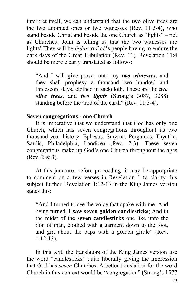interpret itself, we can understand that the two olive trees are the two anointed ones or two witnesses (Rev. 11:3-4), who stand beside Christ and beside the one Church as "lights" – not as Churches! John is telling us that the two witnesses are lights! They will be *lights* to God's people having to endure the dark days of the Great Tribulation (Rev. 11). Revelation 11:4 should be more clearly translated as follows:

"And I will give power unto my *two witnesses*, and they shall prophesy a thousand two hundred and threescore days, clothed in sackcloth. These are the *two olive trees*, and *two lights* (Strong's 3087, 3088) standing before the God of the earth" (Rev. 11:3-4).

#### **Seven congregations - one Church**

It is imperative that we understand that God has only one Church, which has seven congregations throughout its two thousand year history: Ephesus, Smyrna, Pergamos, Thyatira, Sardis, Philadelphia, Laodicea (Rev. 2-3). These seven congregations make up God's one Church throughout the ages (Rev. 2 & 3).

At this juncture, before proceeding, it may be appropriate to comment on a few verses in Revelation 1 to clarify this subject further. Revelation 1:12-13 in the King James version states this:

**"**And I turned to see the voice that spake with me. And being turned, **I saw seven golden candlesticks**; And in the midst of the **seven candlesticks** one like unto the Son of man, clothed with a garment down to the foot, and girt about the paps with a golden girdle" (Rev. 1:12-13).

In this text, the translators of the King James version use the word "candlesticks" quite liberally giving the impression that God has *seven* Churches. A better translation for the word Church in this context would be "congregation" (Strong's 1577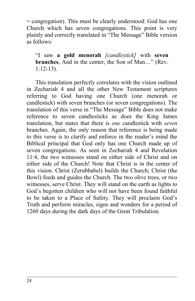= congregation). This must be clearly understood: God has one Church which has seven congregations. This point is very plainly and correctly translated in "The Message" Bible version as follows:

"I saw **a gold menorah** *[candlestick]* with **seven branches**, And in the center, the Son of Man…" (Rev. 1:12-13).

This translation perfectly correlates with the vision outlined in Zechariah 4 and all the other New Testament scriptures referring to God having one Church (one menorah or candlestick) with seven branches (or seven congregations). The translation of this verse in "The Message" Bible does not make reference to seven candlesticks as does the King James translation, but states that there is *one* candlestick with *seven* branches. Again, the only reason that reference is being made to this verse is to clarify and enforce in the reader's mind the Biblical principal that God only has one Church made up of seven congregations. As seen in Zechariah 4 and Revelation 11:4, the two witnesses stand on either side of Christ and on either side of the Church! Note that Christ is in the center of this vision. Christ (Zerubbabel) builds the Church; Christ (the Bowl) feeds and guides the Church. The two olive trees, or two witnesses, serve Christ. They will stand on the earth as lights to God's begotten children who will not have been found faithful to be taken to a Place of Safety. They will proclaim God's Truth and perform miracles, signs and wonders for a period of 1260 days during the dark days of the Great Tribulation.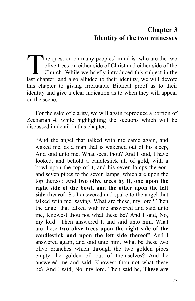# **Chapter 3 Identity of the two witnesses**

he question on many peoples' mind is: who are the two olive trees on either side of Christ and either side of the Church. While we briefly introduced this subject in the The question on many peoples' mind is: who are the two olive trees on either side of Christ and either side of the Church. While we briefly introduced this subject in the last chapter, and also alluded to their identity, w this chapter to giving irrefutable Biblical proof as to their identity and give a clear indication as to when they will appear on the scene.

For the sake of clarity, we will again reproduce a portion of Zechariah 4, while highlighting the sections which will be discussed in detail in this chapter:

"And the angel that talked with me came again, and waked me, as a man that is wakened out of his sleep, And said unto me, What seest thou? And I said, I have looked, and behold a candlestick all of gold, with a bowl upon the top of it, and his seven lamps thereon, and seven pipes to the seven lamps, which are upon the top thereof: And **two olive trees by it, one upon the right side of the bowl, and the other upon the left side thereof**. So I answered and spake to the angel that talked with me, saying, What are these, my lord? Then the angel that talked with me answered and said unto me, Knowest thou not what these be? And I said, No, my lord…Then answered I, and said unto him, What are these **two olive trees upon the right side of the candlestick and upon the left side thereof**? And I answered again, and said unto him, What be these two olive branches which through the two golden pipes empty the golden oil out of themselves? And he answered me and said, Knowest thou not what these be? And I said, No, my lord. Then said he, **These are**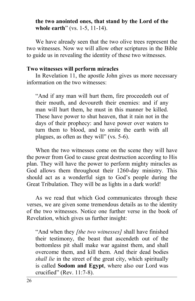#### **the two anointed ones, that stand by the Lord of the whole earth**" (vs. 1-5, 11-14).

We have already seen that the two olive trees represent the two witnesses. Now we will allow other scriptures in the Bible to guide us in revealing the identity of these two witnesses.

#### **Two witnesses will perform miracles**

In Revelation 11, the apostle John gives us more necessary information on the two witnesses:

"And if any man will hurt them, fire proceedeth out of their mouth, and devoureth their enemies: and if any man will hurt them, he must in this manner be killed. These have power to shut heaven, that it rain not in the days of their prophecy: and have power over waters to turn them to blood, and to smite the earth with all plagues, as often as they will" (vs. 5-6).

When the two witnesses come on the scene they will have the power from God to cause great destruction according to His plan. They will have the power to perform mighty miracles as God allows them throughout their 1260-day ministry. This should act as a wonderful sign to God's people during the Great Tribulation. They will be as lights in a dark world!

As we read that which God communicates through these verses, we are given some tremendous details as to the identity of the two witnesses. Notice one further verse in the book of Revelation, which gives us further insight:

"And when they *[the two witnesses]* shall have finished their testimony, the beast that ascendeth out of the bottomless pit shall make war against them, and shall overcome them, and kill them. And their dead bodies *shall lie* in the street of the great city, which spiritually is called **Sodom and Egypt**, where also our Lord was crucified" (Rev. 11:7-8).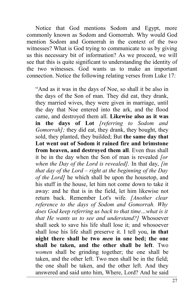Notice that God mentions Sodom and Egypt, more commonly known as Sodom and Gomorrah. Why would God mention Sodom and Gomorrah in the context of the two witnesses? What is God trying to communicate to us by giving us this necessary bit of information? As we proceed, we will see that this is quite significant to understanding the identity of the two witnesses. God wants us to make an important connection. Notice the following relating verses from Luke 17:

"And as it was in the days of Noe, so shall it be also in the days of the Son of man. They did eat, they drank, they married wives, they were given in marriage, until the day that Noe entered into the ark, and the flood came, and destroyed them all. **Likewise also as it was in the days of Lot** *[referring to Sodom and Gomorrah];* they did eat, they drank, they bought, they sold, they planted, they builded; But **the same day that Lot went out of Sodom it rained fire and brimstone from heaven, and destroyed them all**. Even thus shall it be in the day when the Son of man is revealed *[or when the Day of the Lord is revealed].* In that day, *[in that day of the Lord – right at the beginning of the Day of the Lord]* he which shall be upon the housetop, and his stuff in the house, let him not come down to take it away: and he that is in the field, let him likewise not return back. Remember Lot's wife*. [Another clear reference to the days of Sodom and Gomorrah. Why does God keep referring us back to that time…what is it that He wants us to see and understand?]* Whosoever shall seek to save his life shall lose it; and whosoever shall lose his life shall preserve it. I tell you, **in that night there shall be two** *men* **in one bed; the one shall be taken, and the other shall be left**. Two *women* shall be grinding together; the one shall be taken, and the other left. Two men shall be in the field; the one shall be taken, and the other left. And they answered and said unto him, Where, Lord? And he said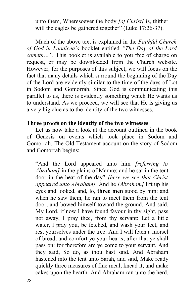unto them, Wheresoever the body *[of Christ]* is, thither will the eagles be gathered together" (Luke 17:26-37).

Much of the above text is explained in the *Faithful Church of God in Laodicea's* booklet entitled *"The Day of the Lord cometh…".* This booklet is available to you free of charge on request, or may be downloaded from the Church website. However, for the purposes of this subject, we will focus on the fact that many details which surround the beginning of the Day of the Lord are evidently similar to the time of the days of Lot in Sodom and Gomorrah. Since God is communicating this parallel to us, there is evidently something which He wants us to understand. As we proceed, we will see that He is giving us a very big clue as to the identity of the two witnesses.

#### **Three proofs on the identity of the two witnesses**

Let us now take a look at the account outlined in the book of Genesis on events which took place in Sodom and Gomorrah. The Old Testament account on the story of Sodom and Gomorrah begins:

"And the Lord appeared unto him *[referring to Abraham]* in the plains of Mamre: and he sat in the tent door in the heat of the day" *[here we see that Christ appeared unto Abraham].* And he *[Abraham]* lift up his eyes and looked, and, lo, **three men** stood by him: and when he saw them, he ran to meet them from the tent door, and bowed himself toward the ground, And said, My Lord, if now I have found favour in thy sight, pass not away, I pray thee, from thy servant: Let a little water, I pray you, be fetched, and wash your feet, and rest yourselves under the tree: And I will fetch a morsel of bread, and comfort ye your hearts; after that ye shall pass on: for therefore are ye come to your servant. And they said, So do, as thou hast said. And Abraham hastened into the tent unto Sarah, and said, Make ready quickly three measures of fine meal, knead it, and make cakes upon the hearth. And Abraham ran unto the herd,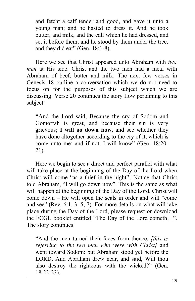and fetcht a calf tender and good, and gave it unto a young man; and he hasted to dress it. And he took butter, and milk, and the calf which he had dressed, and set it before them; and he stood by them under the tree, and they did eat" (Gen. 18:1-8).

Here we see that Christ appeared unto Abraham with *two men* at His side. Christ and the two men had a meal with Abraham of beef, butter and milk. The next few verses in Genesis 18 outline a conversation which we do not need to focus on for the purposes of this subject which we are discussing. Verse 20 continues the story flow pertaining to this subject:

**"**And the Lord said, Because the cry of Sodom and Gomorrah is great, and because their sin is very grievous; **I will go down now**, and see whether they have done altogether according to the cry of it, which is come unto me; and if not, I will know" (Gen. 18:20- 21).

Here we begin to see a direct and perfect parallel with what will take place at the beginning of the Day of the Lord when Christ will come "as a thief in the night"! Notice that Christ told Abraham, "I will go down now". This is the same as what will happen at the beginning of the Day of the Lord. Christ will come down – He will open the seals in order and will "come and see" (Rev. 6:1, 3, 5, 7). For more details on what will take place during the Day of the Lord, please request or download the FCGL booklet entitled "The Day of the Lord cometh…". The story continues:

"And the men turned their faces from thence, *[this is referring to the two men who were with Christ]* and went toward Sodom: but Abraham stood yet before the LORD. And Abraham drew near, and said, Wilt thou also destroy the righteous with the wicked?" (Gen. 18:22-23).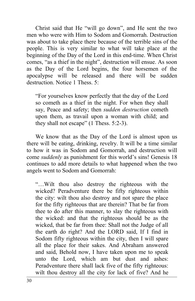Christ said that He "will go down", and He sent the two men who were with Him to Sodom and Gomorrah. Destruction was about to take place there because of the terrible sins of the people. This is very similar to what will take place at the beginning of the Day of the Lord in this end-time. When Christ comes, "as a thief in the night", destruction will ensue. As soon as the Day of the Lord begins, the four horsemen of the apocalypse will be released and there will be sudden destruction. Notice 1 Thess. 5:

"For yourselves know perfectly that the day of the Lord so cometh as a thief in the night. For when they shall say, Peace and safety; then *sudden destruction* cometh upon them, as travail upon a woman with child; and they shall not escape" (1 Thess. 5:2-3).

We know that as the Day of the Lord is almost upon us there will be eating, drinking, revelry. It will be a time similar to how it was in Sodom and Gomorrah, and destruction will come *suddenly* as punishment for this world's sins! Genesis 18 continues to add more details to what happened when the two angels went to Sodom and Gomorrah:

"…Wilt thou also destroy the righteous with the wicked? Peradventure there be fifty righteous within the city: wilt thou also destroy and not spare the place for the fifty righteous that are therein? That be far from thee to do after this manner, to slay the righteous with the wicked: and that the righteous should be as the wicked, that be far from thee: Shall not the Judge of all the earth do right? And the LORD said, If I find in Sodom fifty righteous within the city, then I will spare all the place for their sakes. And Abraham answered and said, Behold now, I have taken upon me to speak unto the Lord, which am but dust and ashes: Peradventure there shall lack five of the fifty righteous: wilt thou destroy all the city for lack of five? And he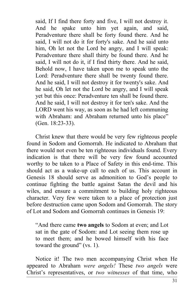said, If I find there forty and five, I will not destroy it. And he spake unto him yet again, and said, Peradventure there shall be forty found there. And he said, I will not do it for forty's sake. And he said unto him, Oh let not the Lord be angry, and I will speak: Peradventure there shall thirty be found there. And he said, I will not do it, if I find thirty there. And he said, Behold now, I have taken upon me to speak unto the Lord: Peradventure there shall be twenty found there. And he said, I will not destroy it for twenty's sake. And he said, Oh let not the Lord be angry, and I will speak yet but this once: Peradventure ten shall be found there. And he said, I will not destroy it for ten's sake. And the LORD went his way, as soon as he had left communing with Abraham: and Abraham returned unto his place" (Gen. 18:23-33).

Christ knew that there would be very few righteous people found in Sodom and Gomorrah. He indicated to Abraham that there would not even be ten righteous individuals found. Every indication is that there will be very few found accounted worthy to be taken to a Place of Safety in this end-time. This should act as a wake-up call to each of us. This account in Genesis 18 should serve as admonition to God's people to continue fighting the battle against Satan the devil and his wiles, and ensure a commitment to building holy righteous character. Very few were taken to a place of protection just before destruction came upon Sodom and Gomorrah. The story of Lot and Sodom and Gomorrah continues in Genesis 19:

"And there came **two angels** to Sodom at even; and Lot sat in the gate of Sodom: and Lot seeing them rose up to meet them; and he bowed himself with his face toward the ground" (vs. 1).

Notice it! The two men accompanying Christ when He appeared to Abraham *were angels!* These *two angels* were Christ's representatives, or *two witnesses* of that time, who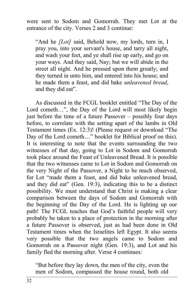were sent to Sodom and Gomorrah. They met Lot at the entrance of the city. Verses 2 and 3 continue:

"And he *[Lot]* said, Behold now, my lords, turn in, I pray you, into your servant's house, and tarry all night, and wash your feet, and ye shall rise up early, and go on your ways. And they said, Nay; but we will abide in the street all night. And he pressed upon them greatly; and they turned in unto him, and entered into his house; and he made them a feast, and did bake *unleavened bread*, and they did eat".

As discussed in the FCGL booklet entitled "The Day of the Lord cometh…", the Day of the Lord will most likely begin just before the time of a future Passover – possibly four days before, to correlate with the setting apart of the lambs in Old Testament times (Ex. 12:3)! (Please request or download "The Day of the Lord cometh…" booklet for Biblical proof on this). It is interesting to note that the events surrounding the two witnesses of that day, going to Lot in Sodom and Gomorrah took place around the Feast of Unleavened Bread. It is possible that the two witnesses came to Lot in Sodom and Gomorrah on the very Night of the Passover, a Night to be much observed, for Lot "made them a feast, and did bake unleavened bread, and they did eat" (Gen. 19:3), indicating this to be a distinct possibility. We must understand that Christ is making a clear comparison between the days of Sodom and Gomorrah with the beginning of the Day of the Lord. He is lighting up our path! The FCGL teaches that God's faithful people will very probably be taken to a place of protection in the morning after a future Passover is observed, just as had been done in Old Testament times when the Israelites left Egypt. It also seems very possible that the two angels came to Sodom and Gomorrah on a Passover night (Gen. 19:3), and Lot and his family fled the morning after. Verse 4 continues:

"But before they lay down, the men of the city, even the men of Sodom, compassed the house round, both old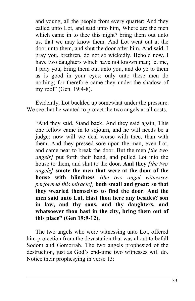and young, all the people from every quarter: And they called unto Lot, and said unto him, Where are the men which came in to thee this night? bring them out unto us, that we may know them. And Lot went out at the door unto them, and shut the door after him, And said, I pray you, brethren, do not so wickedly. Behold now, I have two daughters which have not known man; let me, I pray you, bring them out unto you, and do ye to them as is good in your eyes: only unto these men do nothing; for therefore came they under the shadow of my roof" (Gen. 19:4-8).

Evidently, Lot buckled up somewhat under the pressure. We see that he wanted to protect the two angels at all costs.

"And they said, Stand back. And they said again, This one fellow came in to sojourn, and he will needs be a judge: now will we deal worse with thee, than with them. And they pressed sore upon the man, even Lot, and came near to break the door. But the men *[the two angels]* put forth their hand, and pulled Lot into the house to them, and shut to the door. **And they** *[the two angels]* **smote the men that were at the door of the house with blindness** *[the two angel witnesses performed this miracle],* **both small and great: so that they wearied themselves to find the door**. **And the men said unto Lot, Hast thou here any besides? son in law, and thy sons, and thy daughters, and whatsoever thou hast in the city, bring them out of this place" (Gen 19:9-12).**

The two angels who were witnessing unto Lot, offered him protection from the devastation that was about to befall Sodom and Gomorrah. The two angels prophesied of the destruction, just as God's end-time two witnesses will do. Notice their prophesying in verse 13: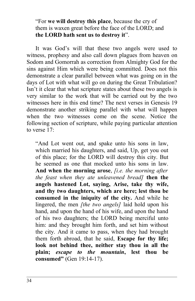"For **we will destroy this place**, because the cry of them is waxen great before the face of the LORD; and **the LORD hath sent us to destroy it**".

It was God's will that these two angels were used to witness, prophesy and also call down plagues from heaven on Sodom and Gomorrah as correction from Almighty God for the sins against Him which were being committed. Does not this demonstrate a clear parallel between what was going on in the days of Lot with what will go on during the Great Tribulation? Isn't it clear that what scripture states about these two angels is very similar to the work that will be carried out by the two witnesses here in this end time? The next verses in Genesis 19 demonstrate another striking parallel with what will happen when the two witnesses come on the scene. Notice the following section of scripture, while paying particular attention to verse 17:

"And Lot went out, and spake unto his sons in law, which married his daughters, and said, Up, get you out of this place; for the LORD will destroy this city. But he seemed as one that mocked unto his sons in law. **And when the morning arose**, *[i.e. the morning after the feast when they ate unleavened bread]* **then the angels hastened Lot, saying, Arise, take thy wife, and thy two daughters, which are here; lest thou be consumed in the iniquity of the city.** And while he lingered, the men *[the two angels]* laid hold upon his hand, and upon the hand of his wife, and upon the hand of his two daughters; the LORD being merciful unto him: and they brought him forth, and set him without the city. And it came to pass, when they had brought them forth abroad, that he said, **Escape for thy life; look not behind thee, neither stay thou in all the plain;** *escape to the mountain***, lest thou be consumed"** (Gen 19:14-17).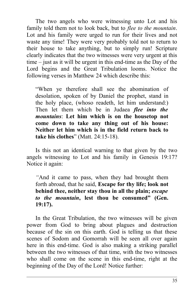The two angels who were witnessing unto Lot and his family told them not to look back, but to *flee to the mountain*. Lot and his family were urged to run for their lives and not waste any time! They were very probably told not to return to their house to take anything, but to simply run! Scripture clearly indicates that the two witnesses were very urgent at this time – just as it will be urgent in this end-time as the Day of the Lord begins and the Great Tribulation looms. Notice the following verses in Matthew 24 which describe this:

"When ye therefore shall see the abomination of desolation, spoken of by Daniel the prophet, stand in the holy place, (whoso readeth, let him understand:) Then let them which be in Judaea *flee into the mountains*: **Let him which is on the housetop not come down to take any thing out of his house: Neither let him which is in the field return back to take his clothes**" (Matt. 24:15-18).

Is this not an identical warning to that given by the two angels witnessing to Lot and his family in Genesis 19:17? Notice it again:

*"*And it came to pass, when they had brought them forth abroad, that he said, **Escape for thy life; look not behind thee, neither stay thou in all the plain;** *escape to the mountain***, lest thou be consumed" (Gen. 19:17).**

In the Great Tribulation, the two witnesses will be given power from God to bring about plagues and destruction because of the sin on this earth. God is telling us that these scenes of Sodom and Gomorrah will be seen all over again here in this end-time. God is also making a striking parallel between the two witnesses of that time, with the two witnesses who shall come on the scene in this end-time, right at the beginning of the Day of the Lord! Notice further: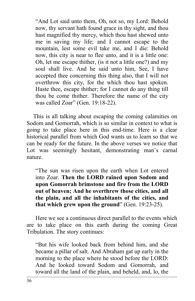"And Lot said unto them, Oh, not so, my Lord: Behold now, thy servant hath found grace in thy sight, and thou hast magnified thy mercy, which thou hast shewed unto me in saving my life; and I cannot escape to the mountain, lest some evil take me, and I die: Behold now, this city is near to flee unto, and it is a little one: Oh, let me escape thither, (is it not a little one?) and my soul shall live. And he said unto him, See, I have accepted thee concerning this thing also, that I will not overthrow this city, for the which thou hast spoken. Haste thee, escape thither; for I cannot do any thing till thou be come thither. Therefore the name of the city was called Zoar" (Gen. 19:18-22).

This is all talking about escaping the coming calamities on Sodom and Gomorrah, which is so similar in context to what is going to take place here in this end-time. Here is a clear historical parallel from which God wants us to learn so that we can be ready for the future. In the above verses we notice that Lot was seemingly hesitant, demonstrating man's carnal nature.

"The sun was risen upon the earth when Lot entered into Zoar. **Then the LORD rained upon Sodom and upon Gomorrah brimstone and fire from the LORD out of heaven; And he overthrew those cities, and all the plain, and all the inhabitants of the cities, and that which grew upon the ground**" (Gen. 19:23-25).

Here we see a continuous direct parallel to the events which are to take place on this earth during the coming Great Tribulation. The story continues:

"But his wife looked back from behind him, and she became a pillar of salt. And Abraham gat up early in the morning to the place where he stood before the LORD: And he looked toward Sodom and Gomorrah, and toward all the land of the plain, and beheld, and, lo, the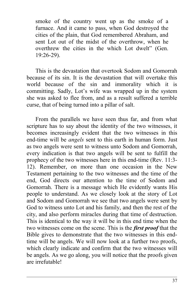smoke of the country went up as the smoke of a furnace. And it came to pass, when God destroyed the cities of the plain, that God remembered Abraham, and sent Lot out of the midst of the overthrow, when he overthrew the cities in the which Lot dwelt" (Gen. 19:26-29).

This is the devastation that overtook Sodom and Gomorrah because of its sin. It is the devastation that will overtake this world because of the sin and immorality which it is committing. Sadly, Lot's wife was wrapped up in the system she was asked to flee from, and as a result suffered a terrible curse, that of being turned into a pillar of salt.

From the parallels we have seen thus far, and from what scripture has to say about the identity of the two witnesses, it becomes increasingly evident that the two witnesses in this end-time will be *angels* sent to this earth in human form. Just as two angels were sent to witness unto Sodom and Gomorrah, every indication is that two angels will be sent to fulfill the prophecy of the two witnesses here in this end-time (Rev. 11:3- 12). Remember, on more than one occasion in the New Testament pertaining to the two witnesses and the time of the end, God directs our attention to the time of Sodom and Gomorrah. There is a message which He evidently wants His people to understand. As we closely look at the story of Lot and Sodom and Gomorrah we see that two angels were sent by God to witness unto Lot and his family, and then the rest of the city, and also perform miracles during that time of destruction. This is identical to the way it will be in this end time when the two witnesses come on the scene. This is the *first proof* that the Bible gives to demonstrate that the two witnesses in this endtime will be angels. We will now look at a further two proofs, which clearly indicate and confirm that the two witnesses will be angels. As we go along, you will notice that the proofs given are irrefutable!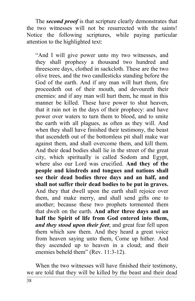The *second proof* is that scripture clearly demonstrates that the two witnesses will not be resurrected with the saints! Notice the following scriptures, while paying particular attention to the highlighted text:

"And I will give power unto my two witnesses, and they shall prophesy a thousand two hundred and threescore days, clothed in sackcloth. These are the two olive trees, and the two candlesticks standing before the God of the earth. And if any man will hurt them, fire proceedeth out of their mouth, and devoureth their enemies: and if any man will hurt them, he must in this manner be killed. These have power to shut heaven, that it rain not in the days of their prophecy: and have power over waters to turn them to blood, and to smite the earth with all plagues, as often as they will. And when they shall have finished their testimony, the beast that ascendeth out of the bottomless pit shall make war against them, and shall overcome them, and kill them. And their dead bodies shall lie in the street of the great city, which spiritually is called Sodom and Egypt, where also our Lord was crucified. **And they of the people and kindreds and tongues and nations shall see their dead bodies three days and an half, and shall not suffer their dead bodies to be put in graves.** And they that dwell upon the earth shall rejoice over them, and make merry, and shall send gifts one to another; because these two prophets tormented them that dwelt on the earth. **And after three days and an half the Spirit of life from God entered into them,** *and they stood upon their feet*; and great fear fell upon them which saw them. And they heard a great voice from heaven saying unto them, Come up hither. And they ascended up to heaven in a cloud; and their enemies beheld them" (Rev. 11:3-12).

When the two witnesses will have finished their testimony, we are told that they will be killed by the beast and their dead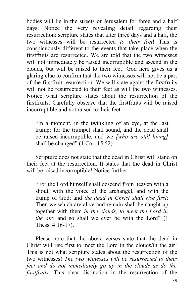bodies will lie in the streets of Jerusalem for three and a half days. Notice the very revealing detail regarding their resurrection: scripture states that after three days and a half, the two witnesses will be resurrected *to their feet*! This is conspicuously different to the events that take place when the firstfruits are resurrected. We are told that the two witnesses will not immediately be raised incorruptible and ascend in the clouds, but will be raised to their feet! God here gives us a glaring clue to confirm that the two witnesses will not be a part of the firstfruit resurrection. We will state again: the firstfruits will not be resurrected to their feet as will the two witnesses. Notice what scripture states about the resurrection of the firstfruits. Carefully observe that the firstfruits will be raised incorruptible and not raised to their feet:

"In a moment, in the twinkling of an eye, at the last trump: for the trumpet shall sound, and the dead shall be raised incorruptible, and we *[who are still living]* shall be changed" (1 Cor. 15:52).

Scripture does not state that the dead in Christ will stand on their feet at the resurrection. It states that the dead in Christ will be raised incorruptible! Notice further:

"For the Lord himself shall descend from heaven with a shout, with the voice of the archangel, and with the trump of God: and *the dead in Christ shall rise first*: Then we which are alive and remain shall be caught up together with them *in the clouds, to meet the Lord in the air:* and so shall we ever be with the Lord" (1 Thess. 4:16-17).

Please note that the above verses state that the dead in Christ will rise first to meet the Lord in the clouds/in the air! This is not what scripture states about the resurrection of the two witnesses! *The two witnesses will be resurrected to their feet and do not immediately go up in the clouds as do the firstfruits.* This clear distinction in the resurrection of the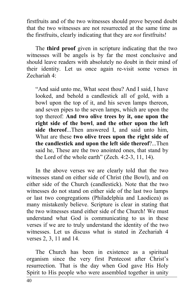firstfruits and of the two witnesses should prove beyond doubt that the two witnesses are not resurrected at the same time as the firstfruits, clearly indicating that they are *not* firstfruits!

The **third proof** given in scripture indicating that the two witnesses will be angels is by far the most conclusive and should leave readers with absolutely no doubt in their mind of their identity. Let us once again re-visit some verses in Zechariah 4:

"And said unto me, What seest thou? And I said, I have looked, and behold a candlestick all of gold, with a bowl upon the top of it, and his seven lamps thereon, and seven pipes to the seven lamps, which are upon the top thereof: **And two olive trees by it, one upon the right side of the bowl**, **and the other upon the left side thereof**...Then answered I, and said unto him, What are these **two olive trees upon the right side of the candlestick and upon the left side thereof**?...Then said he, These are the two anointed ones, that stand by the Lord of the whole earth" (Zech. 4:2-3, 11, 14).

In the above verses we are clearly told that the two witnesses stand on either side of Christ (the Bowl), and on either side of the Church (candlestick). Note that the two witnesses do not stand on either side of the last two lamps or last two congregations (Philadelphia and Laodicea) as many mistakenly believe. Scripture is clear in stating that the two witnesses stand either side of the Church! We must understand what God is communicating to us in these verses if we are to truly understand the identity of the two witnesses. Let us discuss what is stated in Zechariah 4 verses 2, 3, 11 and 14.

The Church has been in existence as a spiritual organism since the very first Pentecost after Christ's resurrection. That is the day when God gave His Holy Spirit to His people who were assembled together in unity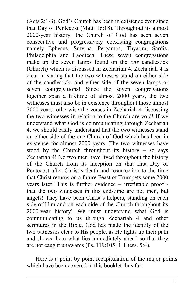(Acts 2:1-3). God's Church has been in existence ever since that Day of Pentecost (Matt. 16:18). Throughout its almost 2000-year history, the Church of God has seen seven consecutive and progressively coexisting congregations namely Ephesus, Smyrna, Pergamos, Thyatira, Sardis, Philadelphia and Laodicea. These seven congregations make up the seven lamps found on the *one* candlestick (Church) which is discussed in Zechariah 4. Zechariah 4 is clear in stating that the two witnesses stand on either side of the candlestick, and either side of the seven lamps or seven congregations! Since the seven congregations together span a lifetime of almost 2000 years, the two witnesses must also be in existence throughout those almost 2000 years, otherwise the verses in Zechariah 4 discussing the two witnesses in relation to the Church are void! If we understand what God is communicating through Zechariah 4, we should easily understand that the two witnesses stand on either side of the one Church of God which has been in existence for almost 2000 years. The two witnesses have stood by the Church throughout its history  $-$  so says Zechariah 4! No two men have lived throughout the history of the Church from its inception on that first Day of Pentecost after Christ's death and resurrection to the time that Christ returns on a future Feast of Trumpets some 2000 years later! This is further evidence – irrefutable proof that the two witnesses in this end-time are not men, but angels! They have been Christ's helpers, standing on each side of Him and on each side of the Church throughout its 2000-year history! We must understand what God is communicating to us through Zechariah 4 and other scriptures in the Bible. God has made the identity of the two witnesses clear to His people, as He lights up their path and shows them what lies immediately ahead so that they are not caught unawares (Ps. 119:105; 1 Thess. 5:4).

Here is a point by point recapitulation of the major points which have been covered in this booklet thus far: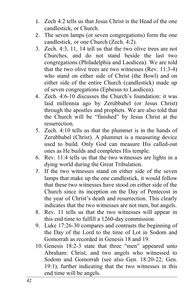- 1. Zech 4:2 tells us that Jesus Christ is the Head of the one candlestick, or Church.
- 2. The seven lamps (or seven congregations) form the one candlestick, or one Church (Zech. 4:2).
- 3. Zech. 4:3, 11, 14 tell us that the two olive trees are not Churches, and do not stand beside the last two congregations (Philadelphia and Laodicea). We are told that the two olive trees are two witnesses (Rev. 11:3-4) who stand on either side of Christ (the Bowl) and on either side of the entire Church (candlestick) made up of seven congregations (Ephesus to Laodicea).
- 4. Zech. 4:6-10 discusses the Church's foundation: it was laid millennia ago by Zerubbabel (or Jesus Christ) through the apostles and prophets. We are also told that the Church will be "finished" by Jesus Christ at the resurrection.
- 5. Zech. 4:10 tells us that the plummet is in the hands of Zerubbabel (Christ). A plummet is a measuring device used to build. Only God can measure His called-out ones as He builds and completes His temple.
- 6. Rev. 11:4 tells us that the two witnesses are lights in a dying world during the Great Tribulation.
- 7. If the two witnesses stand on either side of the seven lamps that make up the one candlestick, it would follow that these two witnesses have stood on either side of the Church since its inception on the Day of Pentecost in the year of Christ's death and resurrection. This clearly indicates that the two witnesses are not men, but angels.
- 8. Rev. 11 tells us that the two witnesses will appear in this end time to fulfill a 1260-day commission.
- 9. Luke 17:26-30 compares and contrasts the beginning of the Day of the Lord to the time of Lot in Sodom and Gomorrah as recorded in Genesis 18 and 19.
- 10. Genesis 18:2-3 state that three "men" appeared unto Abraham: Christ, and two angels who witnessed to Sodom and Gomorrah (see also Gen. 18:20-22; Gen. 19:1), further indicating that the two witnesses in this end time will be angels.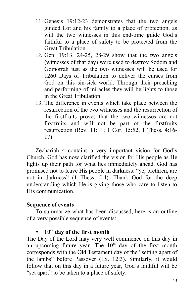- 11. Genesis 19:12-23 demonstrates that the two angels guided Lot and his family to a place of protection, as will the two witnesses in this end-time guide God's faithful to a place of safety to be protected from the Great Tribulation.
- 12. Gen. 19:13, 24-25, 28-29 show that the two angels (witnesses of that day) were used to destroy Sodom and Gomorrah just as the two witnesses will be used for 1260 Days of Tribulation to deliver the curses from God on this sin-sick world. Through their preaching and performing of miracles they will be lights to those in the Great Tribulation.
- 13. The difference in events which take place between the resurrection of the two witnesses and the resurrection of the firstfruits proves that the two witnesses are not firstfruits and will not be part of the firstfruits resurrection (Rev. 11:11; 1 Cor. 15:52; 1 Thess. 4:16- 17).

Zechariah 4 contains a very important vision for God's Church. God has now clarified the vision for His people as He lights up their path for what lies immediately ahead. God has promised not to leave His people in darkness: "ye, brethren, are not in darkness" (1 Thess. 5:4). Thank God for the deep understanding which He is giving those who care to listen to His communication.

#### **Sequence of events**

To summarize what has been discussed, here is an outline of a very possible sequence of events:

#### • **10th day of the first month**

The Day of the Lord may very well commence on this day in an upcoming future year. The  $10<sup>th</sup>$  day of the first month corresponds with the Old Testament day of the "setting apart of the lambs" before Passover (Ex. 12:3). Similarly, it would follow that on this day in a future year, God's faithful will be "set apart" to be taken to a place of safety.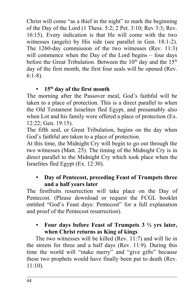Christ will come "as a thief in the night" to mark the beginning of the Day of the Lord (1 Thess. 5:2; 2 Pet. 3:10; Rev 3:3; Rev. 16:15). Every indication is that He will come with the two witnesses (angels) by His side (see parallel in Gen. 18:1-2). The 1260-day commission of the two witnesses (Rev. 11:3) will commence when the Day of the Lord begins – four days before the Great Tribulation. Between the  $10<sup>th</sup>$  day and the  $15<sup>th</sup>$ day of the first month, the first four seals will be opened (Rev. 6:1-8).

# • **15th day of the first month**

The morning after the Passover meal, God's faithful will be taken to a place of protection. This is a direct parallel to when the Old Testament Israelites fled Egypt, and presumably also when Lot and his family were offered a place of protection (Ex. 12:22; Gen. 19:15).

The fifth seal, or Great Tribulation, begins on the day when God's faithful are taken to a place of protection.

At this time, the Midnight Cry will begin to go out through the two witnesses (Matt. 25). The timing of the Midnight Cry is in direct parallel to the Midnight Cry which took place when the Israelites fled Egypt (Ex. 12:30).

# • **Day of Pentecost, preceding Feast of Trumpets three and a half years later**

The firstfruits resurrection will take place on the Day of Pentecost. (Please download or request the FCGL booklet entitled "God's Feast days: Pentecost" for a full explanation and proof of the Pentecost resurrection).

#### • **Four days before Feast of Trumpets 3 ½ yrs later, when Christ returns as King of kings**

The two witnesses will be killed (Rev. 11:7) and will lie in the streets for three and a half days (Rev. 11:9). During this time the world will "make merry" and "give gifts" because these two prophets would have finally been put to death (Rev. 11:10).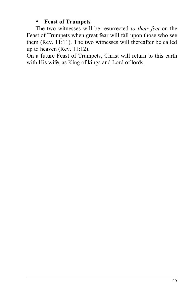#### • **Feast of Trumpets**

The two witnesses will be resurrected *to their feet* on the Feast of Trumpets when great fear will fall upon those who see them (Rev. 11:11). The two witnesses will thereafter be called up to heaven (Rev. 11:12).

On a future Feast of Trumpets, Christ will return to this earth with His wife, as King of kings and Lord of lords.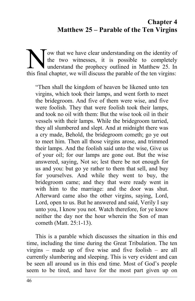# **Chapter 4 Matthew 25 – Parable of the Ten Virgins**

ow that we have clear understanding on the identity of the two witnesses, it is possible to completely If understand the prophecy outlined in Matthew 25. In The two witnesses, it is possible to completely understand the prophecy outlined in Matthew 25. In this final chapter, we will discuss the parable of the ten virgins:

"Then shall the kingdom of heaven be likened unto ten virgins, which took their lamps, and went forth to meet the bridegroom. And five of them were wise, and five were foolish. They that were foolish took their lamps, and took no oil with them: But the wise took oil in their vessels with their lamps. While the bridegroom tarried, they all slumbered and slept. And at midnight there was a cry made, Behold, the bridegroom cometh; go ye out to meet him. Then all those virgins arose, and trimmed their lamps. And the foolish said unto the wise, Give us of your oil; for our lamps are gone out. But the wise answered, saying, Not so; lest there be not enough for us and you: but go ye rather to them that sell, and buy for yourselves. And while they went to buy, the bridegroom came; and they that were ready went in with him to the marriage: and the door was shut. Afterward came also the other virgins, saying, Lord, Lord, open to us. But he answered and said, Verily I say unto you, I know you not. Watch therefore, for ye know neither the day nor the hour wherein the Son of man cometh (Matt. 25:1-13).

This is a parable which discusses the situation in this end time, including the time during the Great Tribulation. The ten virgins – made up of five wise and five foolish – are all currently slumbering and sleeping. This is very evident and can be seen all around us in this end time. Most of God's people seem to be tired, and have for the most part given up on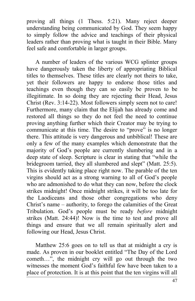proving all things (1 Thess. 5:21). Many reject deeper understanding being communicated by God. They seem happy to simply follow the advice and teachings of their physical leaders rather than proving what is taught in their Bible. Many feel safe and comfortable in larger groups.

A number of leaders of the various WCG splinter groups have dangerously taken the liberty of appropriating Biblical titles to themselves. These titles are clearly not theirs to take, yet their followers are happy to endorse those titles and teachings even though they can so easily be proven to be illegitimate. In so doing they are rejecting their Head, Jesus Christ (Rev. 3:14-22). Most followers simply seem not to care! Furthermore, many claim that the Elijah has already come and restored all things so they do not feel the need to continue proving anything further which their Creator may be trying to communicate at this time. The desire to "prove" is no longer there. This attitude is very dangerous and unbiblical! These are only a few of the many examples which demonstrate that the majority of God's people are currently slumbering and in a deep state of sleep. Scripture is clear in stating that "while the bridegroom tarried, they all slumbered and slept" (Matt. 25:5). This is evidently taking place right now. The parable of the ten virgins should act as a strong warning to all of God's people who are admonished to do what they can now, before the clock strikes midnight! Once midnight strikes, it will be too late for the Laodiceans and those other congregations who deny Christ's name – authority, to forego the calamities of the Great Tribulation. God's people must be ready *before* midnight strikes (Matt. 24:44)! Now is the time to test and prove all things and ensure that we all remain spiritually alert and following our Head, Jesus Christ.

Matthew 25:6 goes on to tell us that at midnight a cry is made. As proven in our booklet entitled "The Day of the Lord cometh…", the midnight cry will go out through the two witnesses the moment God's faithful few have been taken to a place of protection. It is at this point that the ten virgins will all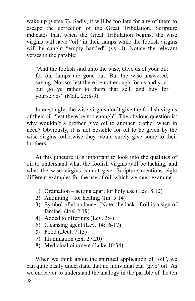wake up (verse 7). Sadly, it will be too late for any of them to escape the correction of the Great Tribulation. Scripture indicates that, when the Great Tribulation begins, the wise virgins will have "oil" in their lamps while the foolish virgins will be caught "empty handed" (vs. 8). Notice the relevant verses in the parable:

"And the foolish said unto the wise, Give us of your oil; for our lamps are gone out. But the wise answered, saying, Not so; lest there be not enough for us and you: but go ye rather to them that sell, and buy for yourselves" (Matt. 25:8-9).

Interestingly, the wise virgins don't give the foolish virgins of their oil "lest there be not enough". The obvious question is: why wouldn't a brother give oil to another brother when in need? Obviously, it is not possible for oil to be given by the wise virgins, otherwise they would surely give some to their brothers.

At this juncture it is important to look into the qualities of oil to understand what the foolish virgins will be lacking, and what the wise virgins cannot give. Scripture mentions eight different examples for the use of oil, which we must examine:

- 1) Ordination setting apart for holy use (Lev. 8:12)
- 2) Anointing for healing (Jm. 5:14)
- 3) Symbol of abundance; [Note: the lack of oil is a sign of famine] (Joel 2:19)
- 4) Added to offerings (Lev. 2:4)
- 5) Cleansing agent (Lev. 14:16-17)
- 6) Food (Deut. 7:13)
- 7) Illumination (Ex. 27:20)
- 8) Medicinal ointment (Luke 10:34)

When we think about the spiritual application of "oil", we can quite easily understand that no individual can 'give' oil! As we endeavor to understand the analogy in the parable of the ten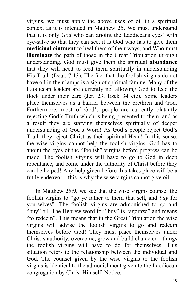virgins, we must apply the above uses of oil in a spiritual context as it is intended in Matthew 25. We must understand that it is only *God* who can **anoint** the Laodiceans eyes' with eye-salve so that they can see; it is God who has to give them **medicinal ointment** to heal them of their ways, and Who must **illuminate** the path of those in the Great Tribulation through understanding. God must give them the spiritual **abundance** that they will need to feed them spiritually in understanding His Truth (Deut. 7:13). The fact that the foolish virgins do not have oil in their lamps is a sign of spiritual famine. Many of the Laodicean leaders are currently not allowing God to feed the flock under their care (Jer. 23; Ezek 34 etc). Some leaders place themselves as a barrier between the brethren and God. Furthermore, most of God's people are currently blatantly rejecting God's Truth which is being presented to them, and as a result they are starving themselves spiritually of deeper understanding of God's Word! As God's people reject God's Truth they reject Christ as their spiritual Head! In this sense, the wise virgins cannot help the foolish virgins. God has to anoint the eyes of the "foolish" virgins before progress can be made. The foolish virgins will have to go to God in deep repentance, and come under the authority of Christ before they can be helped! Any help given before this takes place will be a futile endeavor – this is why the wise virgins cannot give oil!

In Matthew 25:9, we see that the wise virgins counsel the foolish virgins to "go ye rather to them that sell, and *buy* for yourselves". The foolish virgins are admonished to go and "buy" oil. The Hebrew word for "buy" is "agorazo" and means "to redeem". This means that in the Great Tribulation the wise virgins will advise the foolish virgins to go and redeem themselves before God! They must place themselves under Christ's authority, overcome, grow and build character – things the foolish virgins will have to do for themselves. This situation refers to the relationship between the individual and God. The counsel given by the wise virgins to the foolish virgins is identical to the admonishment given to the Laodicean congregation by Christ Himself. Notice: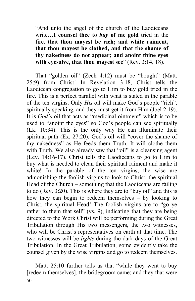"And unto the angel of the church of the Laodiceans write…**I counsel thee to** *buy* **of me gold** tried in the fire, **that thou mayest be rich; and white raiment, that thou mayest be clothed, and that the shame of thy nakedness do not appear; and anoint thine eyes with eyesalve, that thou mayest see**" (Rev. 3:14, 18).

That "golden oil" (Zech 4:12) must be "bought" (Matt. 25:9) from Christ! In Revelation 3:18, Christ tells the Laodicean congregation to go to Him to buy gold tried in the fire. This is a perfect parallel with what is stated in the parable of the ten virgins. Only *His* oil will make God's people "rich", spiritually speaking, and they must get it from Him (Joel 2:19). It is *God's* oil that acts as "medicinal ointment" which is to be used to "anoint the eyes" so God's people can see spiritually (Lk. 10:34). This is the only way He can illuminate their spiritual path (Ex. 27:20). God's oil will "cover the shame of thy nakedness" as He feeds them Truth. It will clothe them with Truth. We also already saw that "oil" is a cleansing agent (Lev. 14:16-17). Christ tells the Laodiceans to go to Him to buy what is needed to clean their spiritual raiment and make it white! In the parable of the ten virgins, the wise are admonishing the foolish virgins to look to Christ, the spiritual Head of the Church – something that the Laodiceans are failing to do (Rev. 3:20). This is where they are to "buy oil" and this is how they can begin to redeem themselves – by looking to Christ, the spiritual Head! The foolish virgins are to "go ye rather to them that sell" (vs. 9), indicating that they are being directed to the Work Christ will be performing during the Great Tribulation through His two messengers, the two witnesses, who will be Christ's representatives on earth at that time. The two witnesses will be *lights* during the dark days of the Great Tribulation. In the Great Tribulation, some evidently take the counsel given by the wise virgins and go to redeem themselves.

Matt. 25:10 further tells us that "while they went to buy [redeem themselves], the bridegroom came; and they that were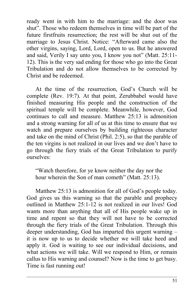ready went in with him to the marriage: and the door was shut". Those who redeem themselves in time will be part of the future firstfruits resurrection; the rest will be shut out of the marriage to Jesus Christ. Notice: "Afterward came also the other virgins, saying, Lord, Lord, open to us. But he answered and said, Verily I say unto you, I know you not" (Matt. 25:11- 12). This is the very sad ending for those who go into the Great Tribulation and do not allow themselves to be corrected by Christ and be redeemed.

At the time of the resurrection, God's Church will be complete (Rev. 19:7). At that point, Zerubbabel would have finished measuring His people and the construction of the spiritual temple will be complete. Meanwhile, however, God continues to call and measure. Matthew 25:13 is admonition and a strong warning for all of us at this time to ensure that we watch and prepare ourselves by building righteous character and take on the mind of Christ (Phil. 2:5), so that the parable of the ten virgins is not realized in our lives and we don't have to go through the fiery trials of the Great Tribulation to purify ourselves:

"Watch therefore, for ye know neither the day nor the hour wherein the Son of man cometh" (Matt. 25:13).

Matthew 25:13 is admonition for all of God's people today. God gives us this warning so that the parable and prophecy outlined in Matthew 25:1-12 is not realized in our lives! God wants more than anything that all of His people wake up in time and repent so that they will not have to be corrected through the fiery trials of the Great Tribulation. Through this deeper understanding, God has imparted this urgent warning – it is now up to us to decide whether we will take heed and apply it. God is waiting to see our individual decisions, and what actions we will take. Will we respond to Him, or remain callus to His warning and counsel? Now is the time to get busy. Time is fast running out!